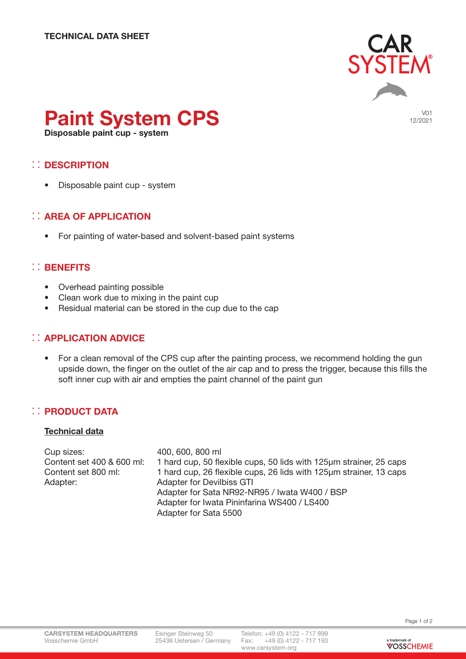

V01 12/2021

# Paint System CPS

Disposable paint cup - system

# : DESCRIPTION

• Disposable paint cup - system

# **:: AREA OF APPLICATION**

• For painting of water-based and solvent-based paint systems

### :: BENEFITS

- Overhead painting possible
- Clean work due to mixing in the paint cup
- Residual material can be stored in the cup due to the cap

# :: APPLICATION ADVICE

• For a clean removal of the CPS cup after the painting process, we recommend holding the gun upside down, the finger on the outlet of the air cap and to press the trigger, because this fills the soft inner cup with air and empties the paint channel of the paint gun

#### : PRODUCT DATA

#### **Technical data**

Cup sizes: 400, 600, 800 ml Content set 400 & 600 ml: 1 hard cup, 50 flexible cups, 50 lids with 125µm strainer, 25 caps Content set 800 ml: 1 hard cup, 26 flexible cups, 26 lids with 125µm strainer, 13 caps Adapter: Adapter for Devilbiss GTI Adapter for Sata NR92-NR95 / Iwata W400 / BSP Adapter for Iwata Pininfarina WS400 / LS400 Adapter for Sata 5500